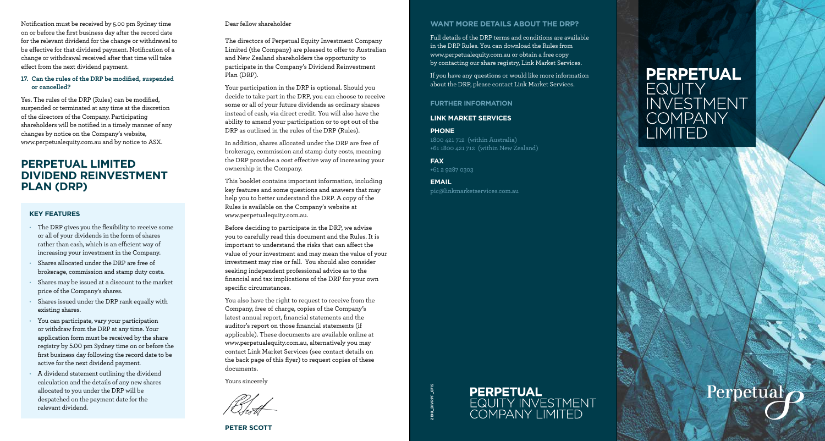Notification must be received by 5.00 pm Sydney time on or before the first business day after the record date for the relevant dividend for the change or withdrawal to be effective for that dividend payment. Notification of a change or withdrawal received after that time will take effect from the next dividend payment.

#### **17. Can the rules of the DRP be modified, suspended or cancelled?**

Yes. The rules of the DRP (Rules) can be modified, suspended or terminated at any time at the discretion of the directors of the Company. Participating shareholders will be notified in a timely manner of any changes by notice on the Company's website, www.perpetualequity.com.au and by notice to ASX.

# **PERPETUAL LIMITED DIVIDEND REINVESTMENT PLAN (DRP)**

## **KEY FEATURES**

- The DRP gives you the flexibility to receive some or all of your dividends in the form of shares rather than cash, which is an efficient way of increasing your investment in the Company.
- Shares allocated under the DRP are free of brokerage, commission and stamp duty costs.
- Shares may be issued at a discount to the market price of the Company's shares.
- Shares issued under the DRP rank equally with existing shares.
- You can participate, vary your participation or withdraw from the DRP at any time. Your application form must be received by the share registry by 5.00 pm Sydney time on or before the first business day following the record date to be active for the next dividend payment.
- A dividend statement outlining the dividend calculation and the details of any new shares allocated to you under the DRP will be despatched on the payment date for the relevant dividend.

#### Dear fellow shareholder

The directors of Perpetual Equity Investment Company Limited (the Company) are pleased to offer to Australian and New Zealand shareholders the opportunity to participate in the Company's Dividend Reinvestment Plan (DRP).

Your participation in the DRP is optional. Should you decide to take part in the DRP, you can choose to receive some or all of your future dividends as ordinary shares instead of cash, via direct credit. You will also have the ability to amend your participation or to opt out of the DRP as outlined in the rules of the DRP (Rules).

In addition, shares allocated under the DRP are free of brokerage, commission and stamp duty costs, meaning the DRP provides a cost effective way of increasing your ownership in the Company.

This booklet contains important information, including key features and some questions and answers that may help you to better understand the DRP. A copy of the Rules is available on the Company's website at www.perpetualequity.com.au.

Before deciding to participate in the DRP, we advise you to carefully read this document and the Rules. It is important to understand the risks that can affect the value of your investment and may mean the value of your investment may rise or fall. You should also consider seeking independent professional advice as to the financial and tax implications of the DRP for your own specific circumstances.

You also have the right to request to receive from the Company, free of charge, copies of the Company's latest annual report, financial statements and the auditor's report on those financial statements (if applicable). These documents are available online at www.perpetualequity.com.au, alternatively you may contact Link Market Services (see contact details on the back page of this flyer) to request copies of these documents.

Yours sincerely



# **WANT MORE DETAILS ABOUT THE DRP?**

Full details of the DRP terms and conditions are available in the DRP Rules. You can download the Rules from www.perpetualequity.com.au or obtain a free copy by contacting our share registry, Link Market Services.

If you have any questions or would like more information about the DRP, please contact Link Market Services.

**FURTHER INFORMATION**

**LINK MARKET SERVICES**

**PHONE** 

1800 421 712 (within Australia) +61 1800 421 712 (within New Zealand)

**FAX**  +61 2 9287 0303

**2190\_DIVRPF\_0715**

**EMAIL**  pic@linkmarketservices.com.au

# **PERPETUAL EQUITY INVESTMENT COMPANY** LIMITED

Perpetual



# **PETER SCOTT**